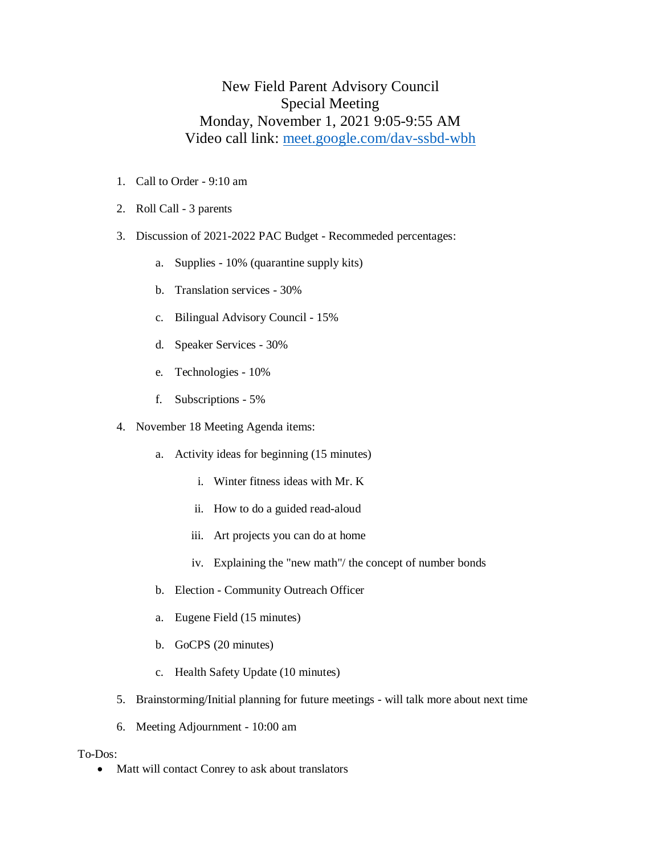## New Field Parent Advisory Council Special Meeting Monday, November 1, 2021 9:05-9:55 AM Video call link: [meet.google.com/dav-ssbd-wbh](http://meet.google.com/dav-ssbd-wbh)

- 1. Call to Order 9:10 am
- 2. Roll Call 3 parents
- 3. Discussion of 2021-2022 PAC Budget Recommeded percentages:
	- a. Supplies 10% (quarantine supply kits)
	- b. Translation services 30%
	- c. Bilingual Advisory Council 15%
	- d. Speaker Services 30%
	- e. Technologies 10%
	- f. Subscriptions 5%
- 4. November 18 Meeting Agenda items:
	- a. Activity ideas for beginning (15 minutes)
		- i. Winter fitness ideas with Mr. K
		- ii. How to do a guided read-aloud
		- iii. Art projects you can do at home
		- iv. Explaining the "new math"/ the concept of number bonds
	- b. Election Community Outreach Officer
	- a. Eugene Field (15 minutes)
	- b. GoCPS (20 minutes)
	- c. Health Safety Update (10 minutes)
- 5. Brainstorming/Initial planning for future meetings will talk more about next time
- 6. Meeting Adjournment 10:00 am

## To-Dos:

• Matt will contact Conrey to ask about translators